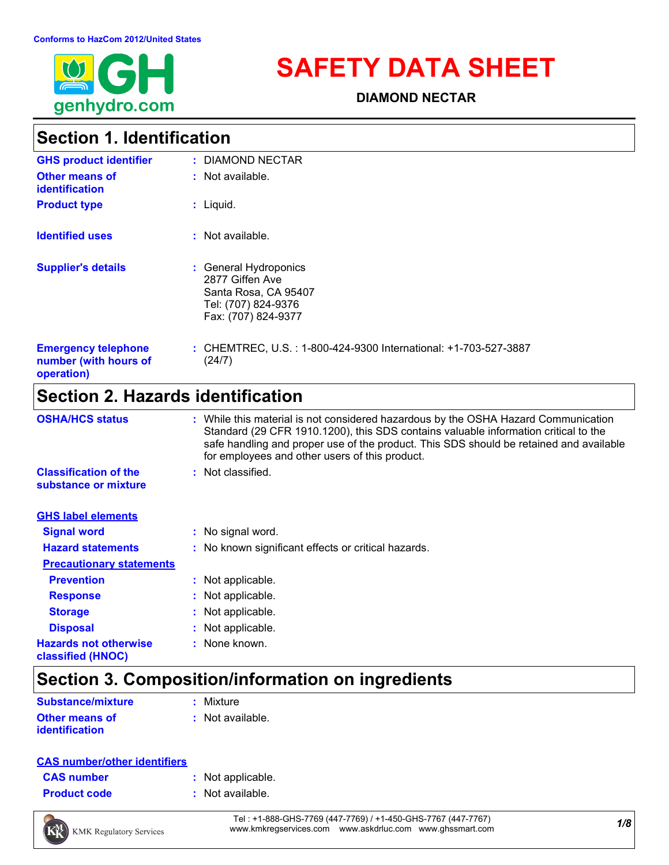

# **SAFETY DATA SHEET**

**DIAMOND NECTAR**

## **Section 1. Identification**

| <b>GHS product identifier</b>                                     | : DIAMOND NECTAR                                                                                               |
|-------------------------------------------------------------------|----------------------------------------------------------------------------------------------------------------|
| <b>Other means of</b><br><b>identification</b>                    | $:$ Not available.                                                                                             |
| <b>Product type</b>                                               | $:$ Liquid.                                                                                                    |
| <b>Identified uses</b>                                            | $:$ Not available.                                                                                             |
| <b>Supplier's details</b>                                         | : General Hydroponics<br>2877 Giffen Ave<br>Santa Rosa, CA 95407<br>Tel: (707) 824-9376<br>Fax: (707) 824-9377 |
| <b>Emergency telephone</b><br>number (with hours of<br>operation) | : CHEMTREC, U.S.: 1-800-424-9300 International: +1-703-527-3887<br>(24/7)                                      |

## **Section 2. Hazards identification**

| <b>OSHA/HCS status</b>                               | : While this material is not considered hazardous by the OSHA Hazard Communication<br>Standard (29 CFR 1910.1200), this SDS contains valuable information critical to the<br>safe handling and proper use of the product. This SDS should be retained and available<br>for employees and other users of this product. |
|------------------------------------------------------|-----------------------------------------------------------------------------------------------------------------------------------------------------------------------------------------------------------------------------------------------------------------------------------------------------------------------|
| <b>Classification of the</b><br>substance or mixture | : Not classified.                                                                                                                                                                                                                                                                                                     |
| <b>GHS label elements</b>                            |                                                                                                                                                                                                                                                                                                                       |
| <b>Signal word</b>                                   | : No signal word.                                                                                                                                                                                                                                                                                                     |
| <b>Hazard statements</b>                             | : No known significant effects or critical hazards.                                                                                                                                                                                                                                                                   |
| <b>Precautionary statements</b>                      |                                                                                                                                                                                                                                                                                                                       |
| <b>Prevention</b>                                    | : Not applicable.                                                                                                                                                                                                                                                                                                     |
| <b>Response</b>                                      | : Not applicable.                                                                                                                                                                                                                                                                                                     |
| <b>Storage</b>                                       | : Not applicable.                                                                                                                                                                                                                                                                                                     |
| <b>Disposal</b>                                      | : Not applicable.                                                                                                                                                                                                                                                                                                     |
| <b>Hazards not otherwise</b><br>classified (HNOC)    | : None known.                                                                                                                                                                                                                                                                                                         |

## **Section 3. Composition/information on ingredients**

| <b>Substance/mixture</b> | : Mixture        |
|--------------------------|------------------|
| <b>Other means of</b>    | : Not available. |
| <i>identification</i>    |                  |

| <b>CAS number/other identifiers</b> |
|-------------------------------------|
|-------------------------------------|

| <b>CAS number</b> |  |
|-------------------|--|
|                   |  |

- **:** Not applicable.
- **Product code :** Not available.



*1/8* Tel : +1-888-GHS-7769 (447-7769) / +1-450-GHS-7767 (447-7767) www.kmkregservices.com www.askdrluc.com www.ghssmart.com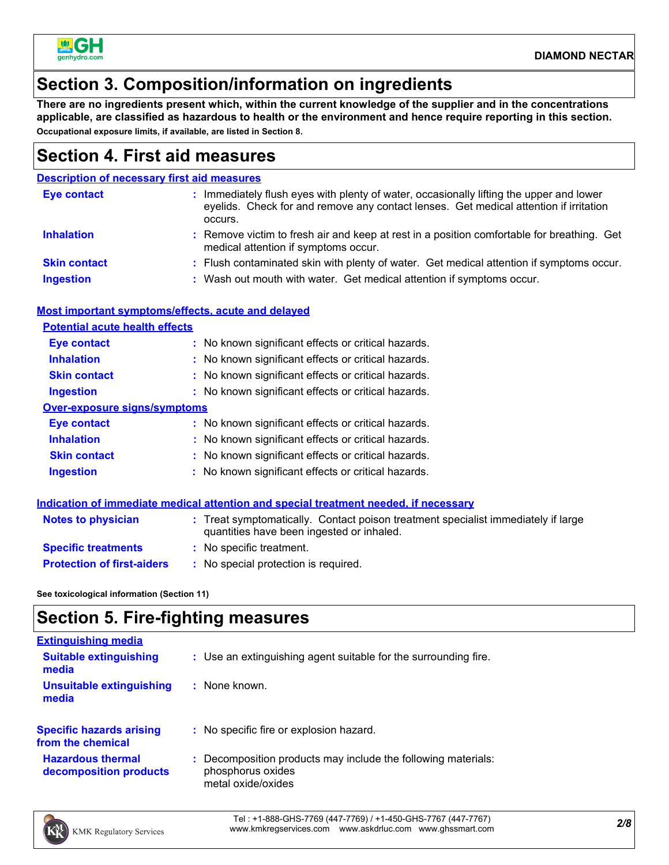

## **Section 3. Composition/information on ingredients**

**There are no ingredients present which, within the current knowledge of the supplier and in the concentrations applicable, are classified as hazardous to health or the environment and hence require reporting in this section. Occupational exposure limits, if available, are listed in Section 8.**

### **Section 4. First aid measures**

### **Description of necessary first aid measures**

| <b>Eye contact</b>  | Immediately flush eyes with plenty of water, occasionally lifting the upper and lower<br>eyelids. Check for and remove any contact lenses. Get medical attention if irritation<br>occurs. |
|---------------------|-------------------------------------------------------------------------------------------------------------------------------------------------------------------------------------------|
| <b>Inhalation</b>   | : Remove victim to fresh air and keep at rest in a position comfortable for breathing. Get<br>medical attention if symptoms occur.                                                        |
| <b>Skin contact</b> | : Flush contaminated skin with plenty of water. Get medical attention if symptoms occur.                                                                                                  |
| <b>Ingestion</b>    | : Wash out mouth with water. Get medical attention if symptoms occur.                                                                                                                     |

### **Most important symptoms/effects, acute and delayed**

| <b>Potential acute health effects</b> |                                                     |  |  |  |  |
|---------------------------------------|-----------------------------------------------------|--|--|--|--|
| <b>Eye contact</b>                    | : No known significant effects or critical hazards. |  |  |  |  |
| <b>Inhalation</b>                     | : No known significant effects or critical hazards. |  |  |  |  |
| <b>Skin contact</b>                   | : No known significant effects or critical hazards. |  |  |  |  |
| <b>Ingestion</b>                      | : No known significant effects or critical hazards. |  |  |  |  |
| Over-exposure signs/symptoms          |                                                     |  |  |  |  |
| Eye contact                           | : No known significant effects or critical hazards. |  |  |  |  |
| <b>Inhalation</b>                     | : No known significant effects or critical hazards. |  |  |  |  |
| <b>Skin contact</b>                   | : No known significant effects or critical hazards. |  |  |  |  |
| <b>Ingestion</b>                      | : No known significant effects or critical hazards. |  |  |  |  |

#### **Indication of immediate medical attention and special treatment needed, if necessary**

| <b>Notes to physician</b>         | : Treat symptomatically. Contact poison treatment specialist immediately if large<br>quantities have been ingested or inhaled. |
|-----------------------------------|--------------------------------------------------------------------------------------------------------------------------------|
| <b>Specific treatments</b>        | : No specific treatment.                                                                                                       |
| <b>Protection of first-aiders</b> | No special protection is required.                                                                                             |

**See toxicological information (Section 11)**

## **Section 5. Fire-fighting measures**

| <b>Extinguishing media</b>                           |                                                                                                        |
|------------------------------------------------------|--------------------------------------------------------------------------------------------------------|
| <b>Suitable extinguishing</b><br>media               | : Use an extinguishing agent suitable for the surrounding fire.                                        |
| <b>Unsuitable extinguishing</b><br>media             | : None known.                                                                                          |
| <b>Specific hazards arising</b><br>from the chemical | : No specific fire or explosion hazard.                                                                |
| <b>Hazardous thermal</b><br>decomposition products   | Decomposition products may include the following materials:<br>phosphorus oxides<br>metal oxide/oxides |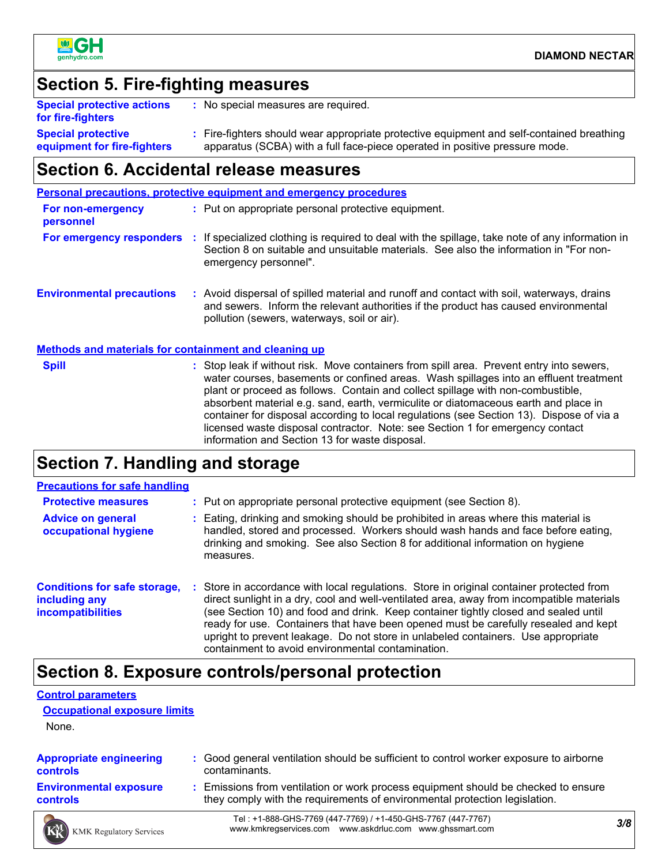

## **Section 5. Fire-fighting measures**

| <b>Special protective actions</b><br>for fire-fighters   | No special measures are required.                                                                                                                                      |
|----------------------------------------------------------|------------------------------------------------------------------------------------------------------------------------------------------------------------------------|
| <b>Special protective</b><br>equipment for fire-fighters | Fire-fighters should wear appropriate protective equipment and self-contained breathing<br>apparatus (SCBA) with a full face-piece operated in positive pressure mode. |

## **Section 6. Accidental release measures**

|                                                              | <b>Personal precautions, protective equipment and emergency procedures</b>                                                                                                                                                                                                                                                                                                                                                                                                                                                                                                                 |
|--------------------------------------------------------------|--------------------------------------------------------------------------------------------------------------------------------------------------------------------------------------------------------------------------------------------------------------------------------------------------------------------------------------------------------------------------------------------------------------------------------------------------------------------------------------------------------------------------------------------------------------------------------------------|
| For non-emergency<br>personnel                               | : Put on appropriate personal protective equipment.                                                                                                                                                                                                                                                                                                                                                                                                                                                                                                                                        |
| For emergency responders :                                   | If specialized clothing is required to deal with the spillage, take note of any information in<br>Section 8 on suitable and unsuitable materials. See also the information in "For non-<br>emergency personnel".                                                                                                                                                                                                                                                                                                                                                                           |
| <b>Environmental precautions</b>                             | : Avoid dispersal of spilled material and runoff and contact with soil, waterways, drains<br>and sewers. Inform the relevant authorities if the product has caused environmental<br>pollution (sewers, waterways, soil or air).                                                                                                                                                                                                                                                                                                                                                            |
| <b>Methods and materials for containment and cleaning up</b> |                                                                                                                                                                                                                                                                                                                                                                                                                                                                                                                                                                                            |
| <b>Spill</b>                                                 | : Stop leak if without risk. Move containers from spill area. Prevent entry into sewers,<br>water courses, basements or confined areas. Wash spillages into an effluent treatment<br>plant or proceed as follows. Contain and collect spillage with non-combustible,<br>absorbent material e.g. sand, earth, vermiculite or diatomaceous earth and place in<br>container for disposal according to local regulations (see Section 13). Dispose of via a<br>licensed waste disposal contractor. Note: see Section 1 for emergency contact<br>information and Section 13 for waste disposal. |
|                                                              | والمستملك المتمرم المتمالية                                                                                                                                                                                                                                                                                                                                                                                                                                                                                                                                                                |

### **Section 7. Handling and storage**

| <b>Precautions for safe handling</b>                                      |                                                                                                                                                                                                                                                                                                                                                                                                                                                                                                               |
|---------------------------------------------------------------------------|---------------------------------------------------------------------------------------------------------------------------------------------------------------------------------------------------------------------------------------------------------------------------------------------------------------------------------------------------------------------------------------------------------------------------------------------------------------------------------------------------------------|
| <b>Protective measures</b>                                                | : Put on appropriate personal protective equipment (see Section 8).                                                                                                                                                                                                                                                                                                                                                                                                                                           |
| <b>Advice on general</b><br>occupational hygiene                          | : Eating, drinking and smoking should be prohibited in areas where this material is<br>handled, stored and processed. Workers should wash hands and face before eating,<br>drinking and smoking. See also Section 8 for additional information on hygiene<br>measures.                                                                                                                                                                                                                                        |
| <b>Conditions for safe storage,</b><br>including any<br>incompatibilities | : Store in accordance with local regulations. Store in original container protected from<br>direct sunlight in a dry, cool and well-ventilated area, away from incompatible materials<br>(see Section 10) and food and drink. Keep container tightly closed and sealed until<br>ready for use. Containers that have been opened must be carefully resealed and kept<br>upright to prevent leakage. Do not store in unlabeled containers. Use appropriate<br>containment to avoid environmental contamination. |

## **Section 8. Exposure controls/personal protection**

#### **Control parameters**

**Occupational exposure limits**

None.

| <b>Appropriate engineering</b> | : Good general ventilation should be sufficient to control worker exposure to airborne |
|--------------------------------|----------------------------------------------------------------------------------------|
| <b>controls</b>                | contaminants.                                                                          |
| <b>Environmental exposure</b>  | : Emissions from ventilation or work process equipment should be checked to ensure     |
| <b>controls</b>                | they comply with the requirements of environmental protection legislation.             |
|                                | Tol: +1, 888 CHC 7760 (447 7760) (+1, 450 CHC 7767 (447 7767)                          |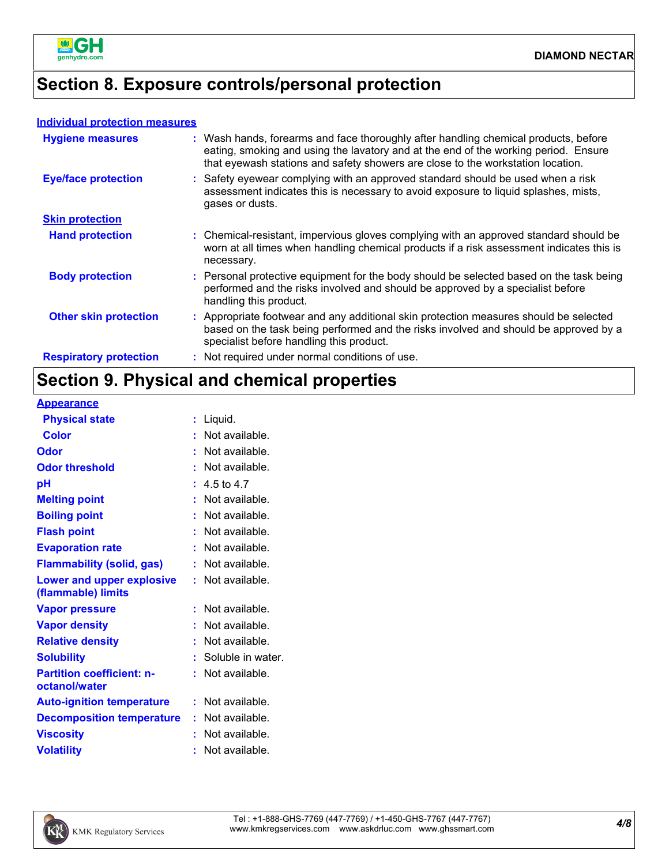

## **Section 8. Exposure controls/personal protection**

#### **Individual protection measures**

| <b>Hygiene measures</b>       | : Wash hands, forearms and face thoroughly after handling chemical products, before<br>eating, smoking and using the lavatory and at the end of the working period. Ensure<br>that eyewash stations and safety showers are close to the workstation location. |
|-------------------------------|---------------------------------------------------------------------------------------------------------------------------------------------------------------------------------------------------------------------------------------------------------------|
| <b>Eye/face protection</b>    | : Safety eyewear complying with an approved standard should be used when a risk<br>assessment indicates this is necessary to avoid exposure to liquid splashes, mists,<br>gases or dusts.                                                                     |
| <b>Skin protection</b>        |                                                                                                                                                                                                                                                               |
| <b>Hand protection</b>        | : Chemical-resistant, impervious gloves complying with an approved standard should be<br>worn at all times when handling chemical products if a risk assessment indicates this is<br>necessary.                                                               |
| <b>Body protection</b>        | : Personal protective equipment for the body should be selected based on the task being<br>performed and the risks involved and should be approved by a specialist before<br>handling this product.                                                           |
| <b>Other skin protection</b>  | : Appropriate footwear and any additional skin protection measures should be selected<br>based on the task being performed and the risks involved and should be approved by a<br>specialist before handling this product.                                     |
| <b>Respiratory protection</b> | : Not required under normal conditions of use.                                                                                                                                                                                                                |

## **Section 9. Physical and chemical properties**

**Appearance**

| Liquid.           |    |
|-------------------|----|
| Not available.    |    |
| Not available.    |    |
| Not available.    |    |
| 4.5 to 4.7        |    |
| Not available.    |    |
| Not available.    |    |
| Not available.    |    |
| Not available.    |    |
| Not available.    |    |
| Not available.    |    |
| Not available.    |    |
| Not available.    |    |
| Not available.    |    |
| Soluble in water. |    |
| Not available.    |    |
| Not available.    |    |
| Not available.    |    |
| Not available.    |    |
| Not available.    |    |
|                   | t. |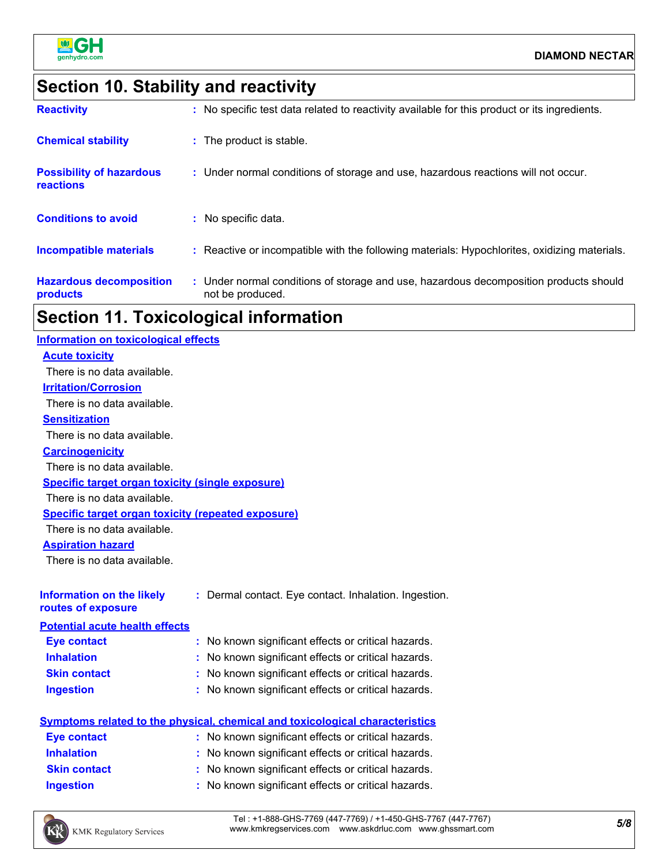

## **Section 10. Stability and reactivity**

| <b>Hazardous decomposition</b><br>products   | : Under normal conditions of storage and use, hazardous decomposition products should<br>not be produced. |
|----------------------------------------------|-----------------------------------------------------------------------------------------------------------|
| Incompatible materials                       | : Reactive or incompatible with the following materials: Hypochlorites, oxidizing materials.              |
| <b>Conditions to avoid</b>                   | : No specific data.                                                                                       |
| <b>Possibility of hazardous</b><br>reactions | : Under normal conditions of storage and use, hazardous reactions will not occur.                         |
| <b>Chemical stability</b>                    | : The product is stable.                                                                                  |
| <b>Reactivity</b>                            | : No specific test data related to reactivity available for this product or its ingredients.              |

## **Section 11. Toxicological information**

| <b>Information on toxicological effects</b>               |                                                                                     |
|-----------------------------------------------------------|-------------------------------------------------------------------------------------|
| <b>Acute toxicity</b>                                     |                                                                                     |
| There is no data available.                               |                                                                                     |
| <b>Irritation/Corrosion</b>                               |                                                                                     |
| There is no data available.                               |                                                                                     |
| <b>Sensitization</b>                                      |                                                                                     |
| There is no data available.                               |                                                                                     |
| <b>Carcinogenicity</b>                                    |                                                                                     |
| There is no data available.                               |                                                                                     |
| <b>Specific target organ toxicity (single exposure)</b>   |                                                                                     |
| There is no data available.                               |                                                                                     |
| <b>Specific target organ toxicity (repeated exposure)</b> |                                                                                     |
| There is no data available.                               |                                                                                     |
| <b>Aspiration hazard</b>                                  |                                                                                     |
| There is no data available.                               |                                                                                     |
|                                                           |                                                                                     |
| <b>Information on the likely</b>                          | : Dermal contact. Eye contact. Inhalation. Ingestion.                               |
| routes of exposure                                        |                                                                                     |
| <b>Potential acute health effects</b>                     |                                                                                     |
| <b>Eye contact</b>                                        | : No known significant effects or critical hazards.                                 |
| <b>Inhalation</b>                                         | No known significant effects or critical hazards.                                   |
| <b>Skin contact</b>                                       | No known significant effects or critical hazards.                                   |
| <b>Ingestion</b>                                          | : No known significant effects or critical hazards.                                 |
|                                                           |                                                                                     |
|                                                           | <b>Symptoms related to the physical, chemical and toxicological characteristics</b> |
| <b>Eye contact</b>                                        | : No known significant effects or critical hazards.                                 |
| <b>Inhalation</b>                                         | : No known significant effects or critical hazards.                                 |
| <b>Skin contact</b>                                       | No known significant effects or critical hazards.                                   |
| <b>Ingestion</b>                                          | : No known significant effects or critical hazards.                                 |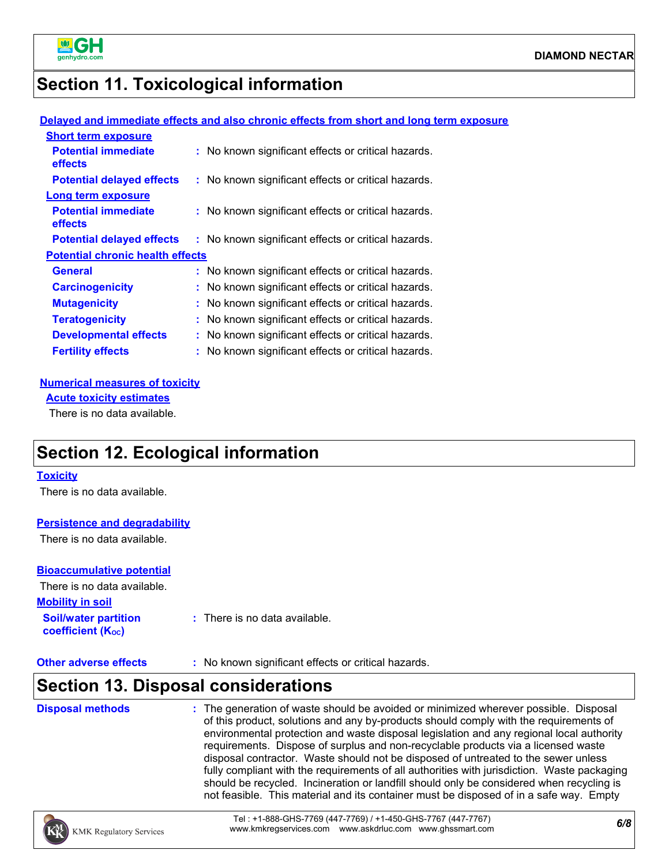

## **Section 11. Toxicological information**

### **Delayed and immediate effects and also chronic effects from short and long term exposure**

| <b>Short term exposure</b>              |                                                     |
|-----------------------------------------|-----------------------------------------------------|
| <b>Potential immediate</b><br>effects   | : No known significant effects or critical hazards. |
| <b>Potential delayed effects</b>        | : No known significant effects or critical hazards. |
| Long term exposure                      |                                                     |
| <b>Potential immediate</b><br>effects   | : No known significant effects or critical hazards. |
| <b>Potential delayed effects</b>        | : No known significant effects or critical hazards. |
| <b>Potential chronic health effects</b> |                                                     |
| General                                 | : No known significant effects or critical hazards. |
| <b>Carcinogenicity</b>                  | : No known significant effects or critical hazards. |
| <b>Mutagenicity</b>                     | : No known significant effects or critical hazards. |
| <b>Teratogenicity</b>                   | : No known significant effects or critical hazards. |
| <b>Developmental effects</b>            | : No known significant effects or critical hazards. |
| <b>Fertility effects</b>                | : No known significant effects or critical hazards. |

#### **Numerical measures of toxicity**

**Acute toxicity estimates**

There is no data available.

## **Section 12. Ecological information**

### **Toxicity**

There is no data available.

### **Persistence and degradability**

There is no data available.

### **Bioaccumulative potential**

**coefficient (KOC)**

**Mobility in soil** There is no data available.

**Soil/water partition** 

**:** There is no data available.

**Other adverse effects** : No known significant effects or critical hazards.

## **Section 13. Disposal considerations**

| <b>Disposal methods</b> | : The generation of waste should be avoided or minimized wherever possible. Disposal<br>of this product, solutions and any by-products should comply with the requirements of<br>environmental protection and waste disposal legislation and any regional local authority<br>requirements. Dispose of surplus and non-recyclable products via a licensed waste<br>disposal contractor. Waste should not be disposed of untreated to the sewer unless<br>fully compliant with the requirements of all authorities with jurisdiction. Waste packaging<br>should be recycled. Incineration or landfill should only be considered when recycling is<br>not feasible. This material and its container must be disposed of in a safe way. Empty |
|-------------------------|-------------------------------------------------------------------------------------------------------------------------------------------------------------------------------------------------------------------------------------------------------------------------------------------------------------------------------------------------------------------------------------------------------------------------------------------------------------------------------------------------------------------------------------------------------------------------------------------------------------------------------------------------------------------------------------------------------------------------------------------|
|                         |                                                                                                                                                                                                                                                                                                                                                                                                                                                                                                                                                                                                                                                                                                                                           |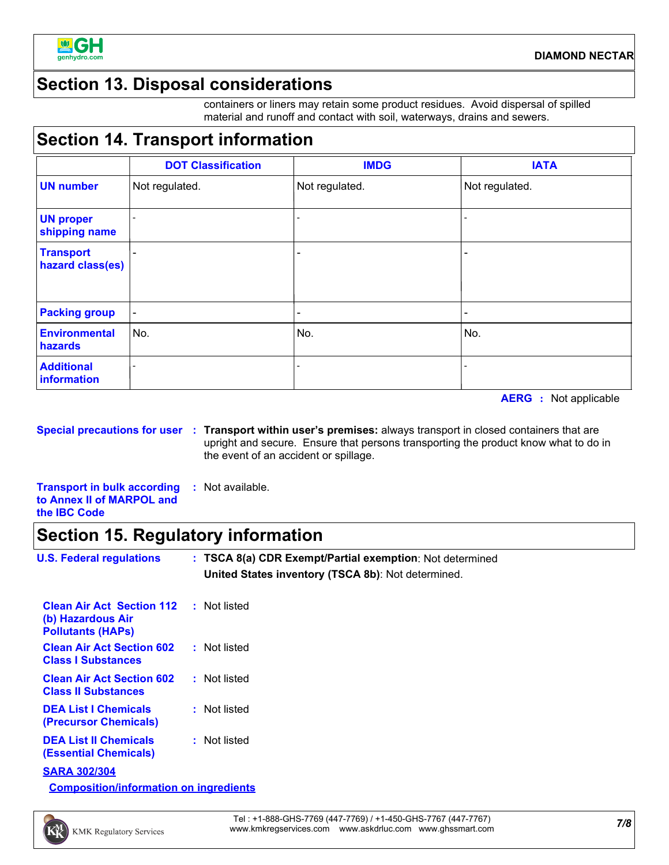

## **Section 13. Disposal considerations**

containers or liners may retain some product residues. Avoid dispersal of spilled material and runoff and contact with soil, waterways, drains and sewers.

### **Section 14. Transport information**

|                                      | <b>DOT Classification</b> | <b>IMDG</b>    | <b>IATA</b>    |
|--------------------------------------|---------------------------|----------------|----------------|
| <b>UN number</b>                     | Not regulated.            | Not regulated. | Not regulated. |
| <b>UN proper</b><br>shipping name    |                           |                |                |
| <b>Transport</b><br>hazard class(es) |                           |                |                |
| <b>Packing group</b>                 | $\blacksquare$            |                |                |
| Environmental<br>hazards             | No.                       | No.            | No.            |
| <b>Additional</b><br>information     |                           |                |                |

**AERG :** Not applicable

**Special precautions for user Transport within user's premises:** always transport in closed containers that are **:** upright and secure. Ensure that persons transporting the product know what to do in the event of an accident or spillage.

**Transport in bulk according to Annex II of MARPOL and the IBC Code :** Not available.

### **Section 15. Regulatory information**

| <b>U.S. Federal regulations</b>                                                                | : TSCA 8(a) CDR Exempt/Partial exemption: Not determined<br>United States inventory (TSCA 8b): Not determined. |
|------------------------------------------------------------------------------------------------|----------------------------------------------------------------------------------------------------------------|
| <b>Clean Air Act Section 112 : Not listed</b><br>(b) Hazardous Air<br><b>Pollutants (HAPS)</b> |                                                                                                                |
| <b>Clean Air Act Section 602</b><br><b>Class I Substances</b>                                  | : Not listed                                                                                                   |
| <b>Clean Air Act Section 602</b><br><b>Class II Substances</b>                                 | : Not listed                                                                                                   |
| <b>DEA List I Chemicals</b><br><b>(Precursor Chemicals)</b>                                    | : Not listed                                                                                                   |
| <b>DEA List II Chemicals</b><br><b>(Essential Chemicals)</b>                                   | : Not listed                                                                                                   |
| <b>SARA 302/304</b>                                                                            |                                                                                                                |
| <b>Composition/information on ingredients</b>                                                  |                                                                                                                |